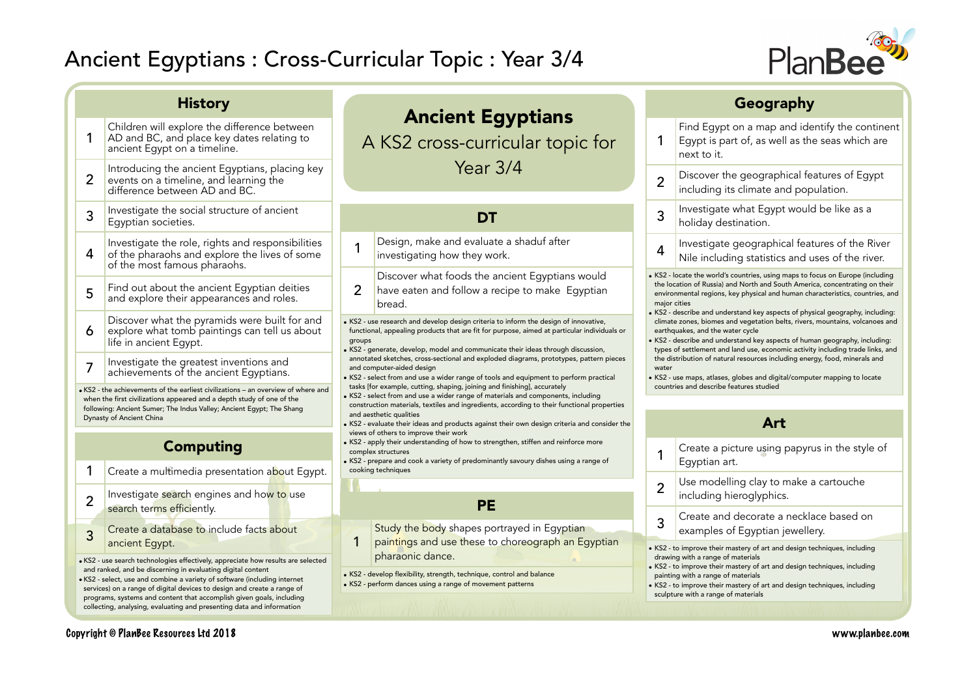programs, systems and content that accomplish given goals, including collecting, analysing, evaluating and presenting data and information



| <b>History</b>                                                                                                                                                                                                                                                                                                                                                                  |                                                                                                                                                            |                                                                                                                                                                                                                                                                                                                                                                                                                                                                                                                                                                                                                      |                                                                                                                                                                                                                                                          |     | Geography                                                                                                                                                                                                                                                                                                                                                     |  |  |
|---------------------------------------------------------------------------------------------------------------------------------------------------------------------------------------------------------------------------------------------------------------------------------------------------------------------------------------------------------------------------------|------------------------------------------------------------------------------------------------------------------------------------------------------------|----------------------------------------------------------------------------------------------------------------------------------------------------------------------------------------------------------------------------------------------------------------------------------------------------------------------------------------------------------------------------------------------------------------------------------------------------------------------------------------------------------------------------------------------------------------------------------------------------------------------|----------------------------------------------------------------------------------------------------------------------------------------------------------------------------------------------------------------------------------------------------------|-----|---------------------------------------------------------------------------------------------------------------------------------------------------------------------------------------------------------------------------------------------------------------------------------------------------------------------------------------------------------------|--|--|
|                                                                                                                                                                                                                                                                                                                                                                                 | Children will explore the difference between<br>AD and BC, and place key dates relating to<br>ancient Egypt on a timeline.                                 |                                                                                                                                                                                                                                                                                                                                                                                                                                                                                                                                                                                                                      | <b>Ancient Egyptians</b><br>A KS2 cross-curricular topic for                                                                                                                                                                                             |     | Find Egypt on a map and identify the continent<br>Egypt is part of, as well as the seas which are<br>next to it.                                                                                                                                                                                                                                              |  |  |
| $\overline{2}$                                                                                                                                                                                                                                                                                                                                                                  | Introducing the ancient Egyptians, placing key<br>events on a timeline, and learning the<br>difference between AD and BC.                                  | Year $3/4$                                                                                                                                                                                                                                                                                                                                                                                                                                                                                                                                                                                                           |                                                                                                                                                                                                                                                          |     | Discover the geographical features of Egypt<br>including its climate and population.                                                                                                                                                                                                                                                                          |  |  |
| 3                                                                                                                                                                                                                                                                                                                                                                               | Investigate the social structure of ancient<br>Egyptian societies.                                                                                         |                                                                                                                                                                                                                                                                                                                                                                                                                                                                                                                                                                                                                      | <b>DT</b>                                                                                                                                                                                                                                                |     | Investigate what Egypt would be like as a<br>holiday destination.                                                                                                                                                                                                                                                                                             |  |  |
| 4                                                                                                                                                                                                                                                                                                                                                                               | Investigate the role, rights and responsibilities<br>of the pharaohs and explore the lives of some<br>of the most famous pharaohs.                         | Design, make and evaluate a shaduf after<br>$\overline{1}$<br>investigating how they work.                                                                                                                                                                                                                                                                                                                                                                                                                                                                                                                           |                                                                                                                                                                                                                                                          | 4   | Investigate geographical features of the River<br>Nile including statistics and uses of the river.                                                                                                                                                                                                                                                            |  |  |
| 5                                                                                                                                                                                                                                                                                                                                                                               | Find out about the ancient Egyptian deities<br>and explore their appearances and roles.                                                                    | Discover what foods the ancient Egyptians would<br>$\overline{2}$<br>have eaten and follow a recipe to make Egyptian<br>bread.<br>. KS2 - use research and develop design criteria to inform the design of innovative,<br>functional, appealing products that are fit for purpose, aimed at particular individuals or<br>groups<br>SICP States Adverser and Communicate their ideas through discussion,<br>annotated sketches, cross-sectional and exploded diagrams, prototypes, pattern pieces<br>and computer-aided design<br>KS2 - select from and use a wider range of tools and equipment to perform practical |                                                                                                                                                                                                                                                          |     | . KS2 - locate the world's countries, using maps to focus on Europe (including<br>the location of Russia) and North and South America, concentrating on their<br>environmental regions, key physical and human characteristics, countries, and<br>major cities                                                                                                |  |  |
| 6                                                                                                                                                                                                                                                                                                                                                                               | Discover what the pyramids were built for and<br>explore what tomb paintings can tell us about<br>life in ancient Eqypt.                                   |                                                                                                                                                                                                                                                                                                                                                                                                                                                                                                                                                                                                                      |                                                                                                                                                                                                                                                          |     | KS2 - describe and understand key aspects of physical geography, including:<br>climate zones, biomes and vegetation belts, rivers, mountains, volcanoes and<br>earthquakes, and the water cycle<br>KS2 - describe and understand key aspects of human geography, including:<br>types of settlement and land use, economic activity including trade links, and |  |  |
| 7                                                                                                                                                                                                                                                                                                                                                                               | Investigate the greatest inventions and<br>achievements of the ancient Egyptians.                                                                          |                                                                                                                                                                                                                                                                                                                                                                                                                                                                                                                                                                                                                      |                                                                                                                                                                                                                                                          |     | the distribution of natural resources including energy, food, minerals and<br>water<br>KS2 - use maps, atlases, globes and digital/computer mapping to locate<br>countries and describe features studied                                                                                                                                                      |  |  |
|                                                                                                                                                                                                                                                                                                                                                                                 | . KS2 - the achievements of the earliest civilizations - an overview of where and<br>when the first civilizations appeared and a depth study of one of the |                                                                                                                                                                                                                                                                                                                                                                                                                                                                                                                                                                                                                      | tasks [for example, cutting, shaping, joining and finishing], accurately<br>KS2 - select from and use a wider range of materials and components, including<br>construction materials, textiles and ingredients, according to their functional properties |     |                                                                                                                                                                                                                                                                                                                                                               |  |  |
| following: Ancient Sumer; The Indus Valley; Ancient Egypt; The Shang<br>Dynasty of Ancient China<br><b>Computing</b>                                                                                                                                                                                                                                                            |                                                                                                                                                            | and aesthetic qualities<br>SIG2 - evaluate their ideas and products against their own design criteria and consider the                                                                                                                                                                                                                                                                                                                                                                                                                                                                                               |                                                                                                                                                                                                                                                          | Art |                                                                                                                                                                                                                                                                                                                                                               |  |  |
|                                                                                                                                                                                                                                                                                                                                                                                 |                                                                                                                                                            |                                                                                                                                                                                                                                                                                                                                                                                                                                                                                                                                                                                                                      | views of others to improve their work<br>• KS2 - apply their understanding of how to strengthen, stiffen and reinforce more<br>complex structures<br>SIZ - prepare and cook a variety of predominantly savoury dishes using a range of                   |     | Create a picture using papyrus in the style of<br>Egyptian art.                                                                                                                                                                                                                                                                                               |  |  |
| 1<br>$\overline{2}$                                                                                                                                                                                                                                                                                                                                                             | Create a multimedia presentation about Egypt.<br>Investigate search engines and how to use                                                                 |                                                                                                                                                                                                                                                                                                                                                                                                                                                                                                                                                                                                                      | cooking techniques                                                                                                                                                                                                                                       |     | Use modelling clay to make a cartouche<br>including hieroglyphics.                                                                                                                                                                                                                                                                                            |  |  |
|                                                                                                                                                                                                                                                                                                                                                                                 | search terms efficiently.                                                                                                                                  |                                                                                                                                                                                                                                                                                                                                                                                                                                                                                                                                                                                                                      | PE                                                                                                                                                                                                                                                       | 3   | Create and decorate a necklace based on                                                                                                                                                                                                                                                                                                                       |  |  |
| 3                                                                                                                                                                                                                                                                                                                                                                               | Create a database to include facts about<br>ancient Egypt.                                                                                                 |                                                                                                                                                                                                                                                                                                                                                                                                                                                                                                                                                                                                                      | Study the body shapes portrayed in Egyptian<br>paintings and use these to choreograph an Egyptian                                                                                                                                                        |     | examples of Egyptian jewellery.                                                                                                                                                                                                                                                                                                                               |  |  |
| · KS2 - use search technologies effectively, appreciate how results are selected<br>and ranked, and be discerning in evaluating digital content<br>. KS2 - select, use and combine a variety of software (including internet<br>services) on a range of digital devices to design and create a range of<br>programs, systems and content that accomplish given goals, including |                                                                                                                                                            |                                                                                                                                                                                                                                                                                                                                                                                                                                                                                                                                                                                                                      | pharaonic dance.<br>• KS2 - develop flexibility, strength, technique, control and balance<br>• KS2 - perform dances using a range of movement patterns                                                                                                   |     | . KS2 - to improve their mastery of art and design techniques, including<br>drawing with a range of materials<br>• KS2 - to improve their mastery of art and design techniques, including<br>painting with a range of materials<br>• KS2 - to improve their mastery of art and design techniques, including<br>sculpture with a range of materials            |  |  |
|                                                                                                                                                                                                                                                                                                                                                                                 |                                                                                                                                                            |                                                                                                                                                                                                                                                                                                                                                                                                                                                                                                                                                                                                                      |                                                                                                                                                                                                                                                          |     |                                                                                                                                                                                                                                                                                                                                                               |  |  |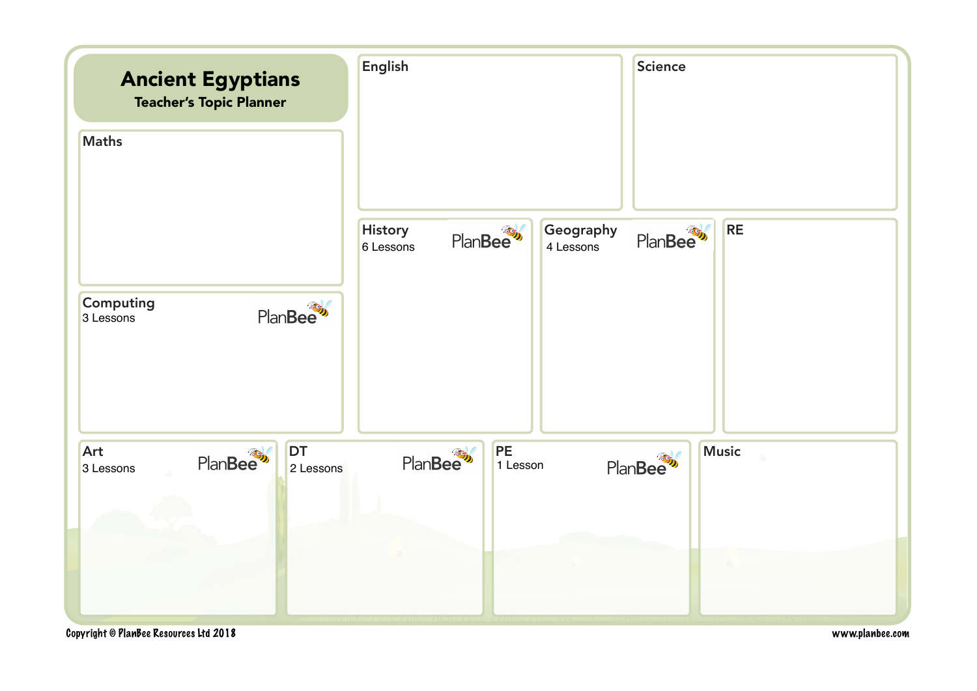

Copyright © PlanBee Resources Ltd 2018 www.planbee.com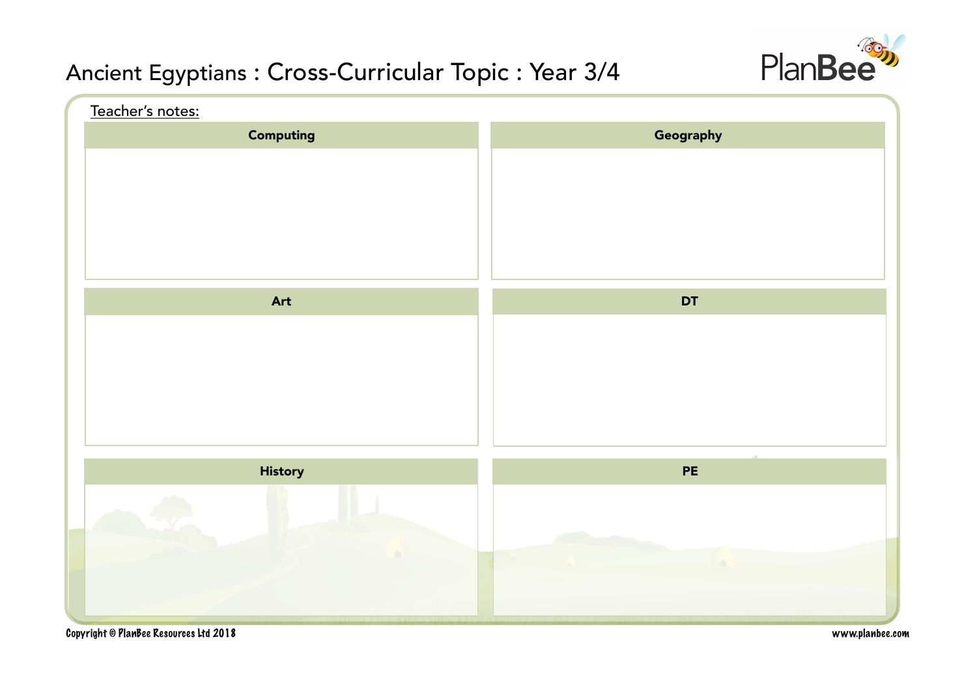

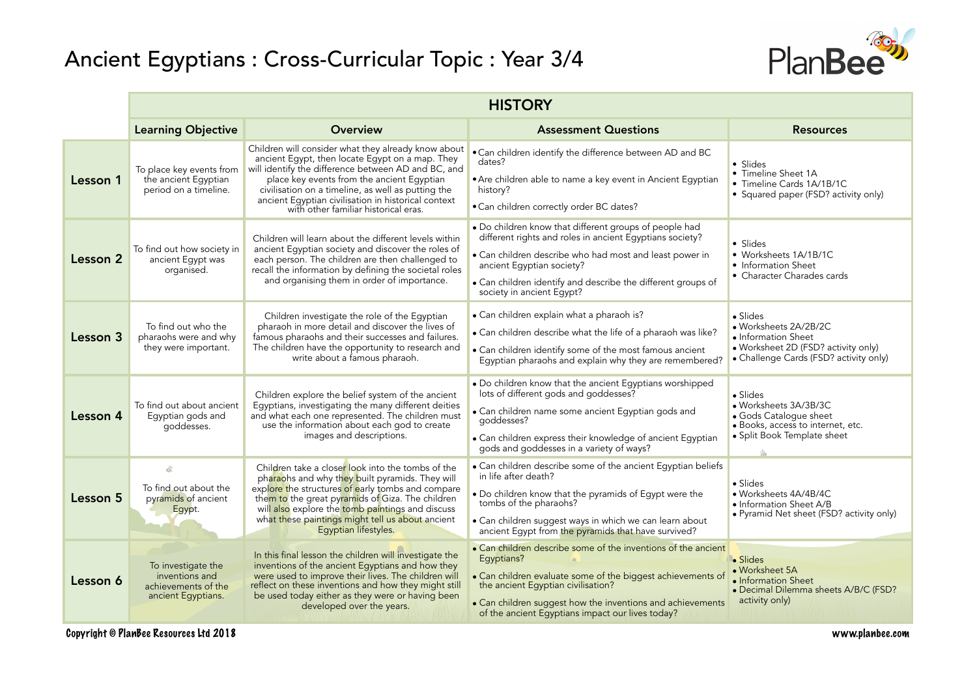

|          | <b>HISTORY</b>                                                                    |                                                                                                                                                                                                                                                                                                                                                                  |                                                                                                                                                                                                                                                                                                         |                                                                                                                                                   |  |
|----------|-----------------------------------------------------------------------------------|------------------------------------------------------------------------------------------------------------------------------------------------------------------------------------------------------------------------------------------------------------------------------------------------------------------------------------------------------------------|---------------------------------------------------------------------------------------------------------------------------------------------------------------------------------------------------------------------------------------------------------------------------------------------------------|---------------------------------------------------------------------------------------------------------------------------------------------------|--|
|          | <b>Learning Objective</b>                                                         | <b>Overview</b>                                                                                                                                                                                                                                                                                                                                                  | <b>Assessment Questions</b>                                                                                                                                                                                                                                                                             | <b>Resources</b>                                                                                                                                  |  |
| Lesson 1 | To place key events from<br>the ancient Egyptian<br>period on a timeline.         | Children will consider what they already know about<br>ancient Egypt, then locate Egypt on a map. They<br>will identify the difference between AD and BC, and<br>place key events from the ancient Egyptian<br>civilisation on a timeline, as well as putting the<br>ancient Egyptian civilisation in historical context<br>with other familiar historical eras. | . Can children identify the difference between AD and BC<br>dates?<br>• Are children able to name a key event in Ancient Egyptian<br>history?<br>. Can children correctly order BC dates?                                                                                                               | • Slides<br>• Timeline Sheet 1A<br>• Timeline Cards 1A/1B/1C<br>• Squared paper (FSD? activity only)                                              |  |
| Lesson 2 | To find out how society in<br>ancient Egypt was<br>organised.                     | Children will learn about the different levels within<br>ancient Eqyptian society and discover the roles of<br>each person. The children are then challenged to<br>recall the information by defining the societal roles<br>and organising them in order of importance.                                                                                          | . Do children know that different groups of people had<br>different rights and roles in ancient Egyptians society?<br>• Can children describe who had most and least power in<br>ancient Egyptian society?<br>• Can children identify and describe the different groups of<br>society in ancient Egypt? | • Slides<br>• Worksheets 1A/1B/1C<br>• Information Sheet<br>• Character Charades cards                                                            |  |
| Lesson 3 | To find out who the<br>pharaohs were and why<br>they were important.              | Children investigate the role of the Egyptian<br>pharaoh in more detail and discover the lives of<br>famous pharaohs and their successes and failures.<br>The children have the opportunity to research and<br>write about a famous pharaoh.                                                                                                                     | • Can children explain what a pharaoh is?<br>• Can children describe what the life of a pharaoh was like?<br>• Can children identify some of the most famous ancient<br>Egyptian pharaohs and explain why they are remembered?                                                                          | $\bullet$ Slides<br>· Worksheets 2A/2B/2C<br>• Information Sheet<br>• Worksheet 2D (FSD? activity only)<br>• Challenge Cards (FSD? activity only) |  |
| Lesson 4 | To find out about ancient<br>Egyptian gods and<br>goddesses.                      | Children explore the belief system of the ancient<br>Egyptians, investigating the many different deities<br>and what each one represented. The children must<br>use the information about each god to create<br>images and descriptions.                                                                                                                         | . Do children know that the ancient Egyptians worshipped<br>lots of different gods and goddesses?<br>• Can children name some ancient Egyptian gods and<br>qoddesses?<br>• Can children express their knowledge of ancient Egyptian<br>gods and goddesses in a variety of ways?                         | • Slides<br>• Worksheets 3A/3B/3C<br>· Gods Catalogue sheet<br>· Books, access to internet, etc.<br>• Split Book Template sheet<br>嵞              |  |
| Lesson 5 | dh.<br>To find out about the<br>pyramids of ancient<br>Egypt.                     | Children take a closer look into the tombs of the<br>pharaohs and why they built pyramids. They will<br>explore the structures of early tombs and compare<br>them to the great pyramids of Giza. The children<br>will also explore the tomb paintings and discuss<br>what these paintings might tell us about ancient<br>Egyptian lifestyles.                    | • Can children describe some of the ancient Egyptian beliefs<br>in life after death?<br>. Do children know that the pyramids of Egypt were the<br>tombs of the pharaohs?<br>• Can children suggest ways in which we can learn about<br>ancient Egypt from the pyramids that have survived?              | • Slides<br>• Worksheets 4A/4B/4C<br>• Information Sheet A/B<br>• Pyramid Net sheet (FSD? activity only)                                          |  |
| Lesson 6 | To investigate the<br>inventions and<br>achievements of the<br>ancient Egyptians. | In this final lesson the children will investigate the<br>inventions of the ancient Egyptians and how they<br>were used to improve their lives. The children will<br>reflect on these inventions and how they might still<br>be used today either as they were or having been<br>developed over the years.                                                       | • Can children describe some of the inventions of the ancient<br>Egyptians?<br>• Can children evaluate some of the biggest achievements of<br>the ancient Eqyptian civilisation?<br>• Can children suggest how the inventions and achievements<br>of the ancient Egyptians impact our lives today?      | · Slides<br>• Worksheet 5A<br>• Information Sheet<br>• Decimal Dilemma sheets A/B/C (FSD?<br>activity only)                                       |  |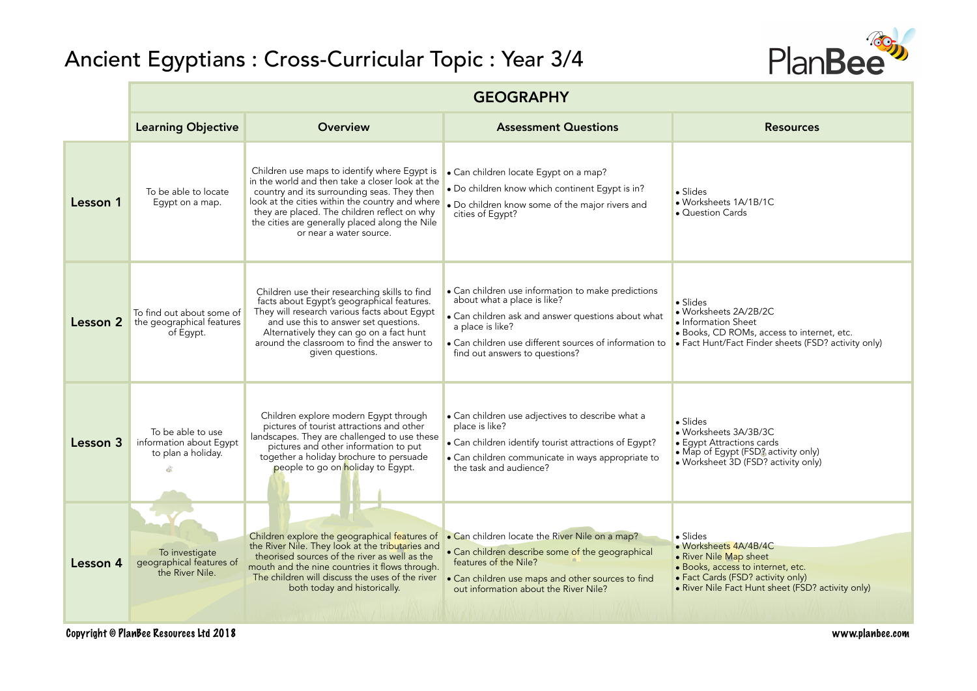

|          | <b>GEOGRAPHY</b>                                                          |                                                                                                                                                                                                                                                                                                                                |                                                                                                                                                                                                                                                         |                                                                                                                                                                                                    |  |  |
|----------|---------------------------------------------------------------------------|--------------------------------------------------------------------------------------------------------------------------------------------------------------------------------------------------------------------------------------------------------------------------------------------------------------------------------|---------------------------------------------------------------------------------------------------------------------------------------------------------------------------------------------------------------------------------------------------------|----------------------------------------------------------------------------------------------------------------------------------------------------------------------------------------------------|--|--|
|          | <b>Learning Objective</b>                                                 | <b>Overview</b>                                                                                                                                                                                                                                                                                                                | <b>Assessment Questions</b>                                                                                                                                                                                                                             | <b>Resources</b>                                                                                                                                                                                   |  |  |
| Lesson 1 | To be able to locate<br>Eqypt on a map.                                   | Children use maps to identify where Egypt is<br>in the world and then take a closer look at the<br>country and its surrounding seas. They then<br>look at the cities within the country and where<br>they are placed. The children reflect on why<br>the cities are generally placed along the Nile<br>or near a water source. | • Can children locate Egypt on a map?<br>. Do children know which continent Egypt is in?<br>. Do children know some of the major rivers and<br>cities of Eqypt?                                                                                         | $\bullet$ Slides<br>• Worksheets 1A/1B/1C<br>• Question Cards                                                                                                                                      |  |  |
| Lesson 2 | To find out about some of<br>the geographical features<br>of Eqypt.       | Children use their researching skills to find<br>facts about Egypt's geographical features.<br>They will research various facts about Egypt<br>and use this to answer set questions.<br>Alternatively they can go on a fact hunt<br>around the classroom to find the answer to<br>given questions.                             | • Can children use information to make predictions<br>about what a place is like?<br>• Can children ask and answer questions about what<br>a place is like?<br>• Can children use different sources of information to<br>find out answers to questions? | $\bullet$ Slides<br>• Worksheets 2A/2B/2C<br>• Information Sheet<br>• Books, CD ROMs, access to internet, etc.<br>• Fact Hunt/Fact Finder sheets (FSD? activity only)                              |  |  |
| Lesson 3 | To be able to use<br>information about Egypt<br>to plan a holiday.<br>dà. | Children explore modern Egypt through<br>pictures of tourist attractions and other<br>landscapes. They are challenged to use these<br>pictures and other information to put<br>together a holiday brochure to persuade<br>people to go on holiday to Egypt.                                                                    | • Can children use adjectives to describe what a<br>place is like?<br>• Can children identify tourist attractions of Egypt?<br>• Can children communicate in ways appropriate to<br>the task and audience?                                              | $\bullet$ Slides<br>· Worksheets 3A/3B/3C<br>• Eqypt Attractions cards<br>• Map of Egypt (FSD? activity only)<br>• Worksheet 3D (FSD? activity only)                                               |  |  |
| Lesson 4 | To investigate<br>geographical features of<br>the River Nile.             | Children explore the geographical features of<br>the River Nile. They look at the tributaries and<br>theorised sources of the river as well as the<br>mouth and the nine countries it flows through.<br>The children will discuss the uses of the river<br>both today and historically.                                        | • Can children locate the River Nile on a map?<br>• Can children describe some of the geographical<br>features of the Nile?<br>• Can children use maps and other sources to find<br>out information about the River Nile?                               | $\bullet$ Slides<br>• Worksheets 4A/4B/4C<br>• River Nile Map sheet<br>· Books, access to internet, etc.<br>• Fact Cards (FSD? activity only)<br>• River Nile Fact Hunt sheet (FSD? activity only) |  |  |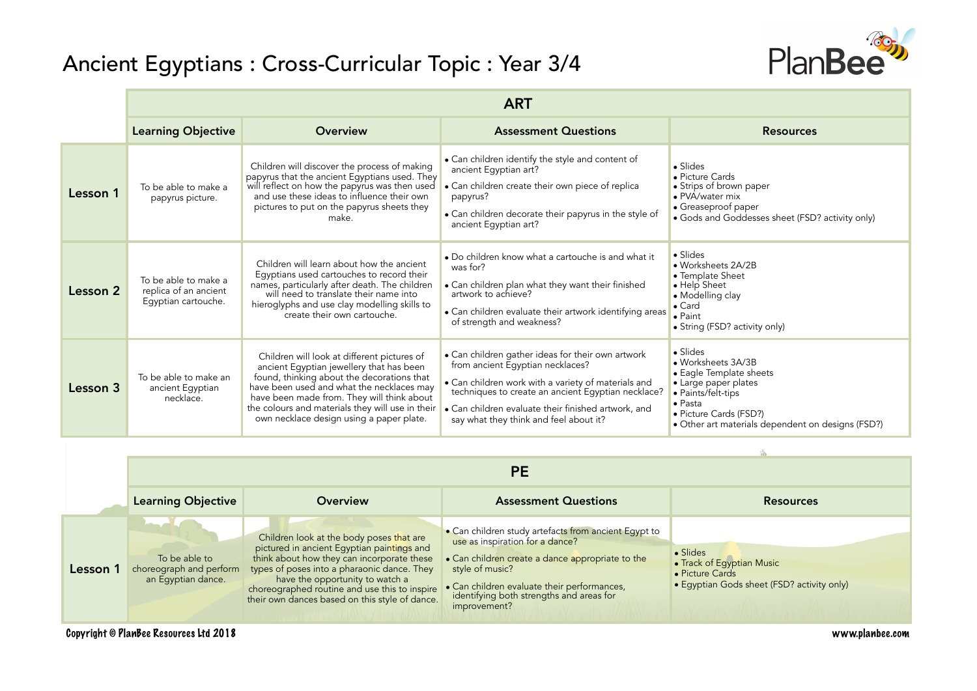

|          | <b>ART</b>                                                           |                                                                                                                                                                                                                                                                                                                                  |                                                                                                                                                                                                                                                                                                     |                                                                                                                                                                                                                   |  |
|----------|----------------------------------------------------------------------|----------------------------------------------------------------------------------------------------------------------------------------------------------------------------------------------------------------------------------------------------------------------------------------------------------------------------------|-----------------------------------------------------------------------------------------------------------------------------------------------------------------------------------------------------------------------------------------------------------------------------------------------------|-------------------------------------------------------------------------------------------------------------------------------------------------------------------------------------------------------------------|--|
|          | <b>Learning Objective</b>                                            | Overview                                                                                                                                                                                                                                                                                                                         | <b>Assessment Questions</b>                                                                                                                                                                                                                                                                         | <b>Resources</b>                                                                                                                                                                                                  |  |
| Lesson 1 | To be able to make a<br>papyrus picture.                             | Children will discover the process of making<br>papyrus that the ancient Egyptians used. They<br>will reflect on how the papyrus was then used<br>and use these ideas to influence their own<br>pictures to put on the papyrus sheets they<br>make.                                                                              | • Can children identify the style and content of<br>ancient Egyptian art?<br>• Can children create their own piece of replica<br>papyrus?<br>• Can children decorate their papyrus in the style of<br>ancient Egyptian art?                                                                         | $\bullet$ Slides<br>• Picture Cards<br>• Strips of brown paper<br>• PVA/water mix<br>• Greaseproof paper<br>• Gods and Goddesses sheet (FSD? activity only)                                                       |  |
| Lesson 2 | To be able to make a<br>replica of an ancient<br>Egyptian cartouche. | Children will learn about how the ancient<br>Eqyptians used cartouches to record their<br>names, particularly after death. The children<br>will need to translate their name into<br>hieroglyphs and use clay modelling skills to<br>create their own cartouche.                                                                 | • Do children know what a cartouche is and what it<br>was for?<br>• Can children plan what they want their finished<br>artwork to achieve?<br>• Can children evaluate their artwork identifying areas<br>of strength and weakness?                                                                  | $\bullet$ Slides<br>· Worksheets 2A/2B<br>• Template Sheet<br>• Help Sheet<br>• Modelling clay<br>$\bullet$ Card<br>$\bullet$ Paint<br>• String (FSD? activity only)                                              |  |
| Lesson 3 | To be able to make an<br>ancient Egyptian<br>necklace.               | Children will look at different pictures of<br>ancient Egyptian jewellery that has been<br>found, thinking about the decorations that<br>have been used and what the necklaces may<br>have been made from. They will think about<br>the colours and materials they will use in their<br>own necklace design using a paper plate. | • Can children gather ideas for their own artwork<br>from ancient Egyptian necklaces?<br>• Can children work with a variety of materials and<br>techniques to create an ancient Egyptian necklace?<br>• Can children evaluate their finished artwork, and<br>say what they think and feel about it? | $\bullet$ Slides<br>• Worksheets 3A/3B<br>• Eagle Template sheets<br>• Large paper plates<br>• Paints/felt-tips<br>$\bullet$ Pasta<br>• Picture Cards (FSD?)<br>• Other art materials dependent on designs (FSD?) |  |

|          | <b>PE</b>                                                                              |                                                                                                                                                                                                                                                                                                                           |                                                                                                                                                                                                                                                                           |                                                                                                        |  |
|----------|----------------------------------------------------------------------------------------|---------------------------------------------------------------------------------------------------------------------------------------------------------------------------------------------------------------------------------------------------------------------------------------------------------------------------|---------------------------------------------------------------------------------------------------------------------------------------------------------------------------------------------------------------------------------------------------------------------------|--------------------------------------------------------------------------------------------------------|--|
|          | <b>Learning Objective</b>                                                              | <b>Overview</b>                                                                                                                                                                                                                                                                                                           | <b>Assessment Questions</b>                                                                                                                                                                                                                                               | <b>Resources</b>                                                                                       |  |
| Lesson 1 | $\sim$ $\sim$ $\sim$<br>To be able to<br>choreograph and perform<br>an Egyptian dance. | Children look at the body poses that are<br>pictured in ancient Egyptian paintings and<br>think about how they can incorporate these<br>types of poses into a pharaonic dance. They<br>have the opportunity to watch a<br>choreographed routine and use this to inspire<br>their own dances based on this style of dance. | • Can children study artefacts from ancient Egypt to<br>use as inspiration for a dance?<br>• Can children create a dance appropriate to the<br>style of music?<br>• Can children evaluate their performances,<br>identifying both strengths and areas for<br>improvement? | • Slides<br>• Track of Egyptian Music<br>• Picture Cards<br>• Eqyptian Gods sheet (FSD? activity only) |  |